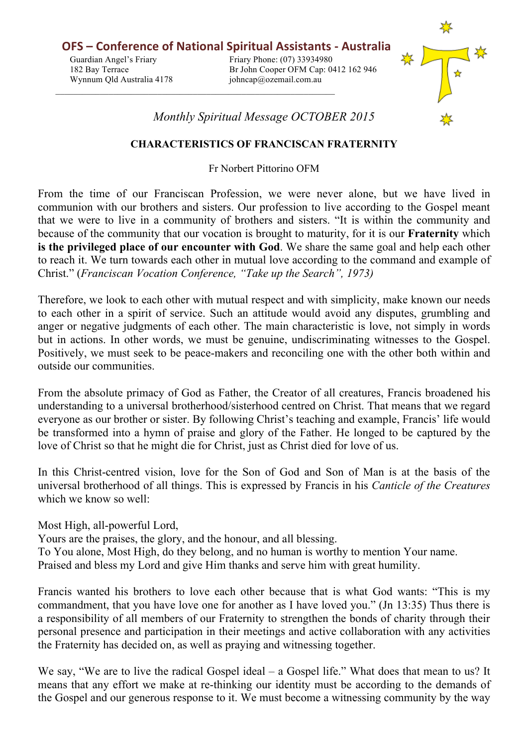**OFS** – Conference of National Spiritual Assistants - Australia Guardian Angel's Friary Friary Friary Phone: (07) 33934980 182 Bay Terrace Br John Cooper OFM Cap: 0412 162 946 Wynnum Qld Australia 4178 johncap@ozemail.com.au



*Monthly Spiritual Message OCTOBER 2015*

## **CHARACTERISTICS OF FRANCISCAN FRATERNITY**

Fr Norbert Pittorino OFM

From the time of our Franciscan Profession, we were never alone, but we have lived in communion with our brothers and sisters. Our profession to live according to the Gospel meant that we were to live in a community of brothers and sisters. "It is within the community and because of the community that our vocation is brought to maturity, for it is our **Fraternity** which **is the privileged place of our encounter with God**. We share the same goal and help each other to reach it. We turn towards each other in mutual love according to the command and example of Christ." (*Franciscan Vocation Conference, "Take up the Search", 1973)*

Therefore, we look to each other with mutual respect and with simplicity, make known our needs to each other in a spirit of service. Such an attitude would avoid any disputes, grumbling and anger or negative judgments of each other. The main characteristic is love, not simply in words but in actions. In other words, we must be genuine, undiscriminating witnesses to the Gospel. Positively, we must seek to be peace-makers and reconciling one with the other both within and outside our communities.

From the absolute primacy of God as Father, the Creator of all creatures, Francis broadened his understanding to a universal brotherhood/sisterhood centred on Christ. That means that we regard everyone as our brother or sister. By following Christ's teaching and example, Francis' life would be transformed into a hymn of praise and glory of the Father. He longed to be captured by the love of Christ so that he might die for Christ, just as Christ died for love of us.

In this Christ-centred vision, love for the Son of God and Son of Man is at the basis of the universal brotherhood of all things. This is expressed by Francis in his *Canticle of the Creatures* which we know so well:

Most High, all-powerful Lord,

Yours are the praises, the glory, and the honour, and all blessing. To You alone, Most High, do they belong, and no human is worthy to mention Your name. Praised and bless my Lord and give Him thanks and serve him with great humility.

Francis wanted his brothers to love each other because that is what God wants: "This is my commandment, that you have love one for another as I have loved you." (Jn 13:35) Thus there is a responsibility of all members of our Fraternity to strengthen the bonds of charity through their personal presence and participation in their meetings and active collaboration with any activities the Fraternity has decided on, as well as praying and witnessing together.

We say, "We are to live the radical Gospel ideal – a Gospel life." What does that mean to us? It means that any effort we make at re-thinking our identity must be according to the demands of the Gospel and our generous response to it. We must become a witnessing community by the way